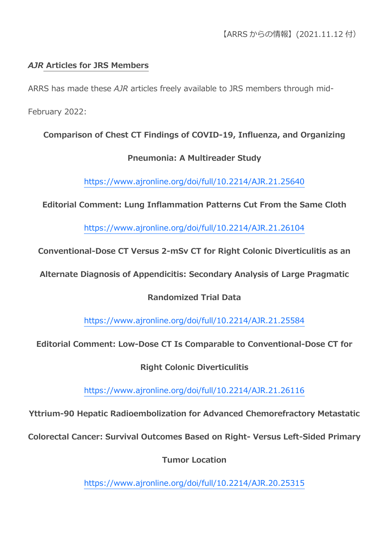# *AJR* **Articles for JRS Members**

ARRS has made these *AJR* articles freely available to JRS members through mid-

February 2022:

# **Comparison of Chest CT Findings of COVID-19, Influenza, and Organizing**

#### **Pneumonia: A Multireader Study**

<https://www.ajronline.org/doi/full/10.2214/AJR.21.25640>

**Editorial Comment: Lung Inflammation Patterns Cut From the Same Cloth**

<https://www.ajronline.org/doi/full/10.2214/AJR.21.26104>

**Conventional-Dose CT Versus 2-mSv CT for Right Colonic Diverticulitis as an** 

**Alternate Diagnosis of Appendicitis: Secondary Analysis of Large Pragmatic** 

#### **Randomized Trial Data**

<https://www.ajronline.org/doi/full/10.2214/AJR.21.25584>

**Editorial Comment: Low-Dose CT Is Comparable to Conventional-Dose CT for** 

**Right Colonic Diverticulitis**

<https://www.ajronline.org/doi/full/10.2214/AJR.21.26116>

**Yttrium-90 Hepatic Radioembolization for Advanced Chemorefractory Metastatic** 

**Colorectal Cancer: Survival Outcomes Based on Right- Versus Left-Sided Primary** 

**Tumor Location**

<https://www.ajronline.org/doi/full/10.2214/AJR.20.25315>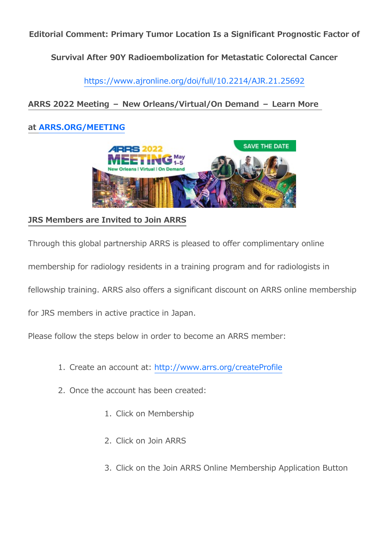**Editorial Comment: Primary Tumor Location Is a Significant Prognostic Factor of** 

**Survival After 90Y Radioembolization for Metastatic Colorectal Cancer**

<https://www.ajronline.org/doi/full/10.2214/AJR.21.25692>

## **ARRS 2022 Meeting – New Orleans/Virtual/On Demand – Learn More**

### **at [ARRS.ORG/MEETING](https://www2.arrs.org/am22/)**



### **JRS Members are Invited to Join ARRS**

Through this global partnership ARRS is pleased to offer complimentary online

membership for radiology residents in a training program and for radiologists in

fellowship training. ARRS also offers a significant discount on ARRS online membership

for JRS members in active practice in Japan.

Please follow the steps below in order to become an ARRS member:

- 1. Create an account at: <http://www.arrs.org/createProfile>
- 2. Once the account has been created:
	- 1. Click on Membership
	- 2. Click on Join ARRS
	- 3. Click on the Join ARRS Online Membership Application Button